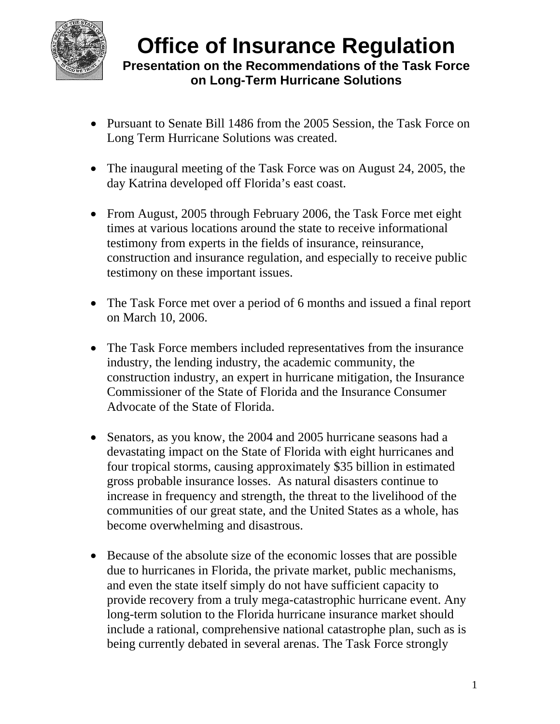

- Pursuant to Senate Bill 1486 from the 2005 Session, the Task Force on Long Term Hurricane Solutions was created.
- The inaugural meeting of the Task Force was on August 24, 2005, the day Katrina developed off Florida's east coast.
- From August, 2005 through February 2006, the Task Force met eight times at various locations around the state to receive informational testimony from experts in the fields of insurance, reinsurance, construction and insurance regulation, and especially to receive public testimony on these important issues.
- The Task Force met over a period of 6 months and issued a final report on March 10, 2006.
- The Task Force members included representatives from the insurance industry, the lending industry, the academic community, the construction industry, an expert in hurricane mitigation, the Insurance Commissioner of the State of Florida and the Insurance Consumer Advocate of the State of Florida.
- Senators, as you know, the 2004 and 2005 hurricane seasons had a devastating impact on the State of Florida with eight hurricanes and four tropical storms, causing approximately \$35 billion in estimated gross probable insurance losses. As natural disasters continue to increase in frequency and strength, the threat to the livelihood of the communities of our great state, and the United States as a whole, has become overwhelming and disastrous.
- Because of the absolute size of the economic losses that are possible due to hurricanes in Florida, the private market, public mechanisms, and even the state itself simply do not have sufficient capacity to provide recovery from a truly mega-catastrophic hurricane event. Any long-term solution to the Florida hurricane insurance market should include a rational, comprehensive national catastrophe plan, such as is being currently debated in several arenas. The Task Force strongly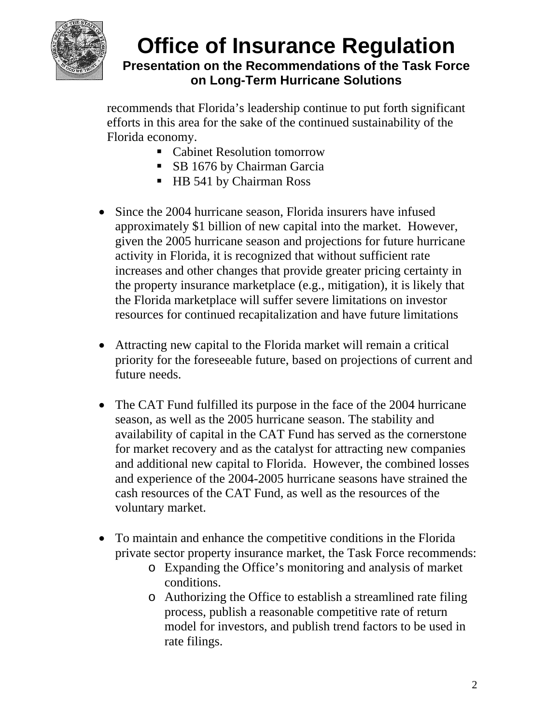

recommends that Florida's leadership continue to put forth significant efforts in this area for the sake of the continued sustainability of the Florida economy.

- Cabinet Resolution tomorrow
- **SB 1676 by Chairman Garcia**
- HB 541 by Chairman Ross
- Since the 2004 hurricane season, Florida insurers have infused approximately \$1 billion of new capital into the market. However, given the 2005 hurricane season and projections for future hurricane activity in Florida, it is recognized that without sufficient rate increases and other changes that provide greater pricing certainty in the property insurance marketplace (e.g., mitigation), it is likely that the Florida marketplace will suffer severe limitations on investor resources for continued recapitalization and have future limitations
- Attracting new capital to the Florida market will remain a critical priority for the foreseeable future, based on projections of current and future needs.
- The CAT Fund fulfilled its purpose in the face of the 2004 hurricane season, as well as the 2005 hurricane season. The stability and availability of capital in the CAT Fund has served as the cornerstone for market recovery and as the catalyst for attracting new companies and additional new capital to Florida. However, the combined losses and experience of the 2004-2005 hurricane seasons have strained the cash resources of the CAT Fund, as well as the resources of the voluntary market.
- To maintain and enhance the competitive conditions in the Florida private sector property insurance market, the Task Force recommends:
	- o Expanding the Office's monitoring and analysis of market conditions.
	- o Authorizing the Office to establish a streamlined rate filing process, publish a reasonable competitive rate of return model for investors, and publish trend factors to be used in rate filings.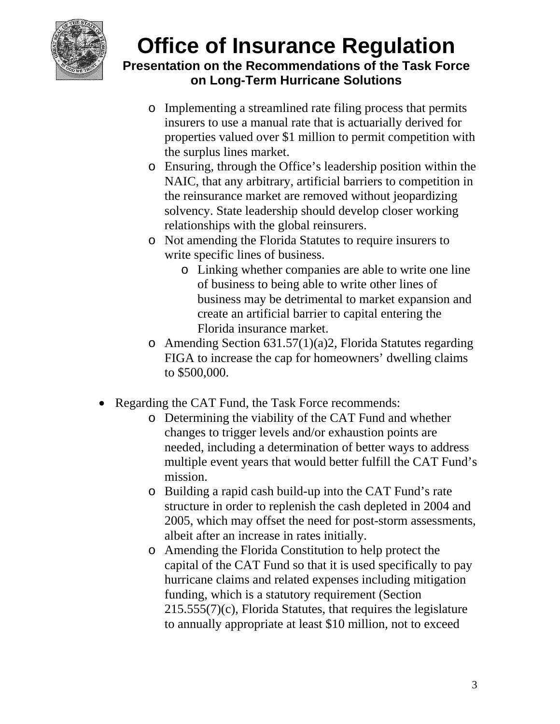

- o Implementing a streamlined rate filing process that permits insurers to use a manual rate that is actuarially derived for properties valued over \$1 million to permit competition with the surplus lines market.
- o Ensuring, through the Office's leadership position within the NAIC, that any arbitrary, artificial barriers to competition in the reinsurance market are removed without jeopardizing solvency. State leadership should develop closer working relationships with the global reinsurers.
- o Not amending the Florida Statutes to require insurers to write specific lines of business.
	- o Linking whether companies are able to write one line of business to being able to write other lines of business may be detrimental to market expansion and create an artificial barrier to capital entering the Florida insurance market.
- $\circ$  Amending Section 631.57(1)(a)2, Florida Statutes regarding FIGA to increase the cap for homeowners' dwelling claims to \$500,000.
- Regarding the CAT Fund, the Task Force recommends:
	- o Determining the viability of the CAT Fund and whether changes to trigger levels and/or exhaustion points are needed, including a determination of better ways to address multiple event years that would better fulfill the CAT Fund's mission.
	- o Building a rapid cash build-up into the CAT Fund's rate structure in order to replenish the cash depleted in 2004 and 2005, which may offset the need for post-storm assessments, albeit after an increase in rates initially.
	- o Amending the Florida Constitution to help protect the capital of the CAT Fund so that it is used specifically to pay hurricane claims and related expenses including mitigation funding, which is a statutory requirement (Section 215.555(7)(c), Florida Statutes, that requires the legislature to annually appropriate at least \$10 million, not to exceed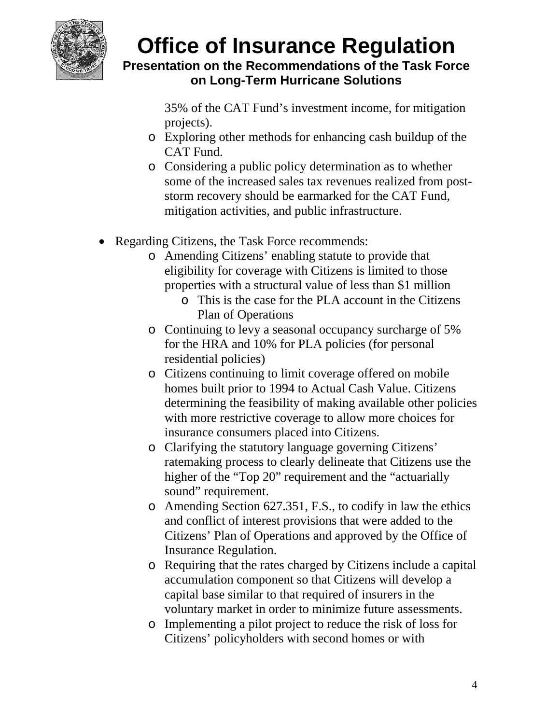

35% of the CAT Fund's investment income, for mitigation projects).

- o Exploring other methods for enhancing cash buildup of the CAT Fund.
- o Considering a public policy determination as to whether some of the increased sales tax revenues realized from poststorm recovery should be earmarked for the CAT Fund, mitigation activities, and public infrastructure.
- Regarding Citizens, the Task Force recommends:
	- o Amending Citizens' enabling statute to provide that eligibility for coverage with Citizens is limited to those properties with a structural value of less than \$1 million
		- o This is the case for the PLA account in the Citizens Plan of Operations
	- o Continuing to levy a seasonal occupancy surcharge of 5% for the HRA and 10% for PLA policies (for personal residential policies)
	- o Citizens continuing to limit coverage offered on mobile homes built prior to 1994 to Actual Cash Value. Citizens determining the feasibility of making available other policies with more restrictive coverage to allow more choices for insurance consumers placed into Citizens.
	- o Clarifying the statutory language governing Citizens' ratemaking process to clearly delineate that Citizens use the higher of the "Top 20" requirement and the "actuarially sound" requirement.
	- o Amending Section 627.351, F.S., to codify in law the ethics and conflict of interest provisions that were added to the Citizens' Plan of Operations and approved by the Office of Insurance Regulation.
	- o Requiring that the rates charged by Citizens include a capital accumulation component so that Citizens will develop a capital base similar to that required of insurers in the voluntary market in order to minimize future assessments.
	- o Implementing a pilot project to reduce the risk of loss for Citizens' policyholders with second homes or with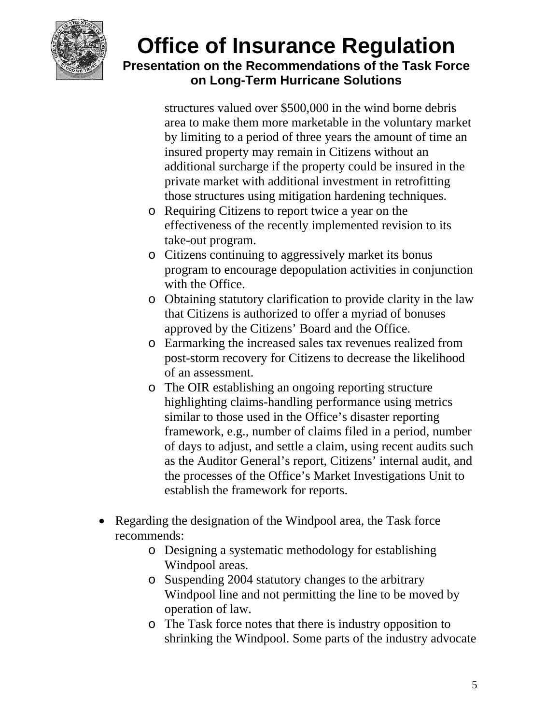

structures valued over \$500,000 in the wind borne debris area to make them more marketable in the voluntary market by limiting to a period of three years the amount of time an insured property may remain in Citizens without an additional surcharge if the property could be insured in the private market with additional investment in retrofitting those structures using mitigation hardening techniques.

- o Requiring Citizens to report twice a year on the effectiveness of the recently implemented revision to its take-out program.
- o Citizens continuing to aggressively market its bonus program to encourage depopulation activities in conjunction with the Office.
- o Obtaining statutory clarification to provide clarity in the law that Citizens is authorized to offer a myriad of bonuses approved by the Citizens' Board and the Office.
- o Earmarking the increased sales tax revenues realized from post-storm recovery for Citizens to decrease the likelihood of an assessment.
- o The OIR establishing an ongoing reporting structure highlighting claims-handling performance using metrics similar to those used in the Office's disaster reporting framework, e.g., number of claims filed in a period, number of days to adjust, and settle a claim, using recent audits such as the Auditor General's report, Citizens' internal audit, and the processes of the Office's Market Investigations Unit to establish the framework for reports.
- Regarding the designation of the Windpool area, the Task force recommends:
	- o Designing a systematic methodology for establishing Windpool areas.
	- o Suspending 2004 statutory changes to the arbitrary Windpool line and not permitting the line to be moved by operation of law.
	- o The Task force notes that there is industry opposition to shrinking the Windpool. Some parts of the industry advocate